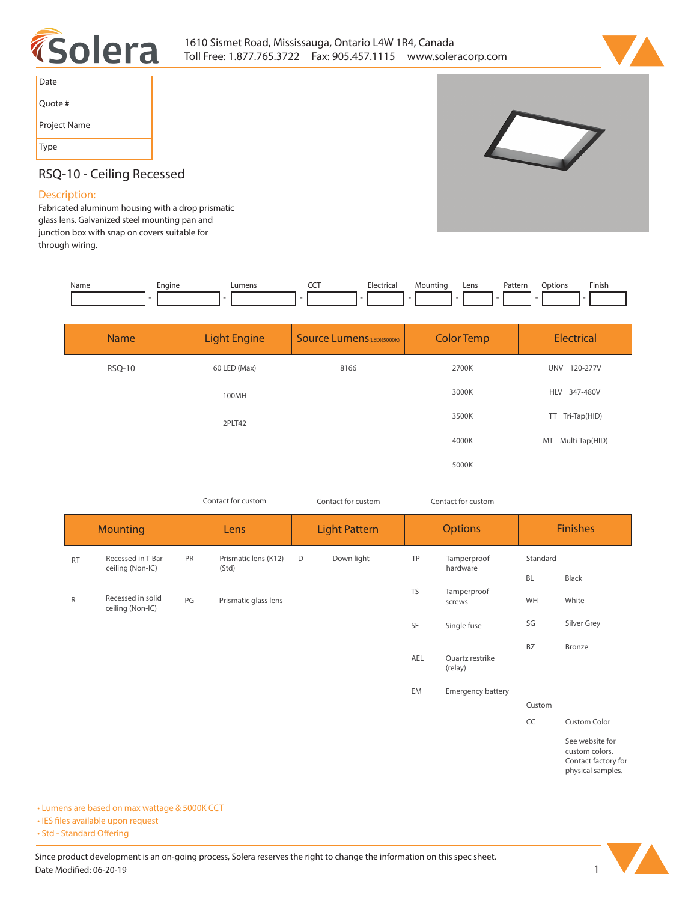



| Date         |
|--------------|
| Quote #      |
| Project Name |
| <b>Type</b>  |



## **RSQ-10 - Ceiling Recessed**

## **Description:**

**Fabricated aluminum housing with a drop prismatic glass lens. Galvanized steel mounting pan and junction box with snap on covers suitable for through wiring.**

| Name | cnaine | umens. | --- | $l$ atvica<br>IC.d | Mountine | Lens<br>the contract of the contract of the | Pattern<br>. | Dotion: | Finish. |
|------|--------|--------|-----|--------------------|----------|---------------------------------------------|--------------|---------|---------|
|      |        |        |     |                    |          |                                             |              |         |         |

| <b>Name</b>   | <b>Light Engine</b> | <b>Source Lumens</b> (LED)(5000K) | <b>Color Temp</b> | <b>Electrical</b>      |  |
|---------------|---------------------|-----------------------------------|-------------------|------------------------|--|
| <b>RSQ-10</b> | 60 LED (Max)        | 8166                              | 2700K             | <b>UNV</b><br>120-277V |  |
|               | 100MH               |                                   | 3000K             | HLV 347-480V           |  |
|               | 2PLT42              |                                   | 3500K             | TT Tri-Tap(HID)        |  |
|               |                     |                                   | 4000K             | MT Multi-Tap(HID)      |  |
|               |                     |                                   | 5000K             |                        |  |

*Contact for custom Contact for custom*

*Contact for custom*

|           | <b>Mounting</b>                       |    | Lens                          |   | <b>Light Pattern</b> |           | <b>Options</b>             |           | <b>Finishes</b>                                                               |
|-----------|---------------------------------------|----|-------------------------------|---|----------------------|-----------|----------------------------|-----------|-------------------------------------------------------------------------------|
| <b>RT</b> | Recessed in T-Bar<br>ceiling (Non-IC) | PR | Prismatic lens (K12)<br>(Std) | D | Down light           | TP        | Tamperproof<br>hardware    | Standard  |                                                                               |
|           |                                       |    |                               |   |                      |           |                            | <b>BL</b> | Black                                                                         |
| $\sf R$   | Recessed in solid<br>ceiling (Non-IC) | PG | Prismatic glass lens          |   |                      | <b>TS</b> | Tamperproof<br>screws      | WH        | White                                                                         |
|           |                                       |    |                               |   |                      | SF        | Single fuse                | SG        | Silver Grey                                                                   |
|           |                                       |    |                               |   |                      |           |                            | <b>BZ</b> | Bronze                                                                        |
|           |                                       |    |                               |   |                      | AEL       | Quartz restrike<br>(relay) |           |                                                                               |
|           |                                       |    |                               |   |                      | EM        | Emergency battery          |           |                                                                               |
|           |                                       |    |                               |   |                      |           |                            | Custom    |                                                                               |
|           |                                       |    |                               |   |                      |           |                            | CC        | Custom Color                                                                  |
|           |                                       |    |                               |   |                      |           |                            |           | See website for<br>custom colors.<br>Contact factory for<br>physical samples. |

**• Lumens are based on max wattage & 5000K CCT**

**• IES files available upon request** 

• Std - Standard Offering